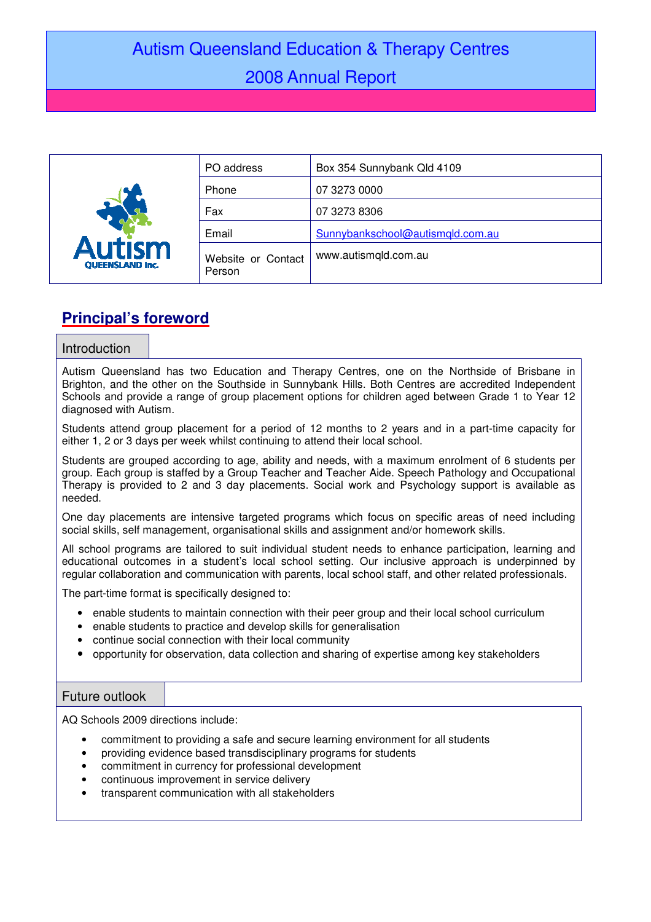# Autism Queensland Education & Therapy Centres 2008 Annual Report

| <b>Autism</b><br><b>OUEENSLAND Inc.</b> | PO address                   | Box 354 Sunnybank Qld 4109       |
|-----------------------------------------|------------------------------|----------------------------------|
|                                         | Phone                        | 07 3273 0000                     |
|                                         | Fax                          | 07 3273 8306                     |
|                                         | Email                        | Sunnybankschool@autismqld.com.au |
|                                         | Website or Contact<br>Person | www.autismqld.com.au             |

# **Principal's foreword**

## Introduction

Autism Queensland has two Education and Therapy Centres, one on the Northside of Brisbane in Brighton, and the other on the Southside in Sunnybank Hills. Both Centres are accredited Independent Schools and provide a range of group placement options for children aged between Grade 1 to Year 12 diagnosed with Autism.

Students attend group placement for a period of 12 months to 2 years and in a part-time capacity for either 1, 2 or 3 days per week whilst continuing to attend their local school.

Students are grouped according to age, ability and needs, with a maximum enrolment of 6 students per group. Each group is staffed by a Group Teacher and Teacher Aide. Speech Pathology and Occupational Therapy is provided to 2 and 3 day placements. Social work and Psychology support is available as needed.

One day placements are intensive targeted programs which focus on specific areas of need including social skills, self management, organisational skills and assignment and/or homework skills.

All school programs are tailored to suit individual student needs to enhance participation, learning and educational outcomes in a student's local school setting. Our inclusive approach is underpinned by regular collaboration and communication with parents, local school staff, and other related professionals.

The part-time format is specifically designed to:

- enable students to maintain connection with their peer group and their local school curriculum
- enable students to practice and develop skills for generalisation
- continue social connection with their local community
- opportunity for observation, data collection and sharing of expertise among key stakeholders

# Future outlook

AQ Schools 2009 directions include:

- commitment to providing a safe and secure learning environment for all students
- providing evidence based transdisciplinary programs for students
- commitment in currency for professional development
- continuous improvement in service delivery
- transparent communication with all stakeholders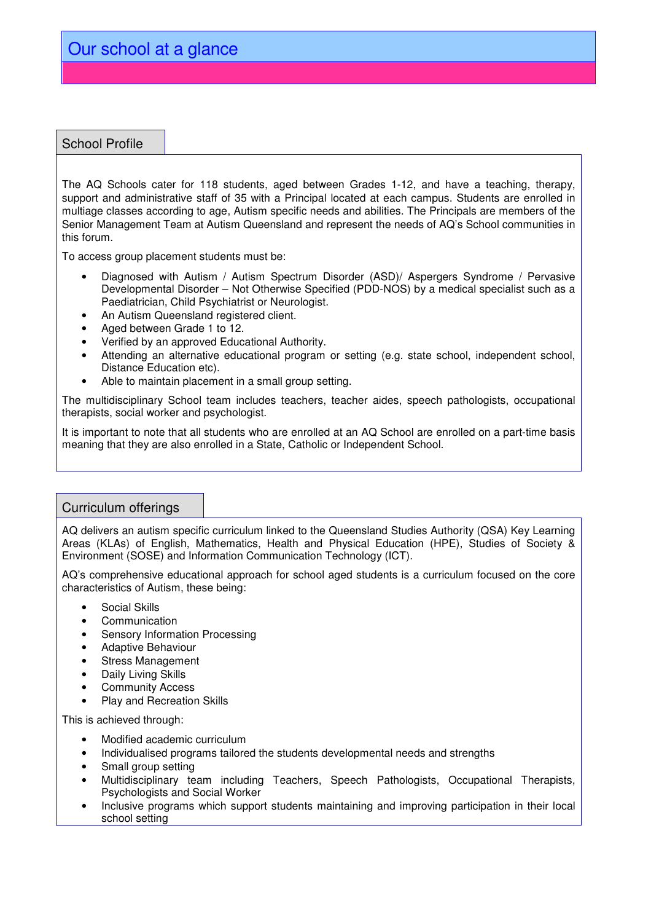# School Profile

The AQ Schools cater for 118 students, aged between Grades 1-12, and have a teaching, therapy, support and administrative staff of 35 with a Principal located at each campus. Students are enrolled in multiage classes according to age, Autism specific needs and abilities. The Principals are members of the Senior Management Team at Autism Queensland and represent the needs of AQ's School communities in this forum.

To access group placement students must be:

- Diagnosed with Autism / Autism Spectrum Disorder (ASD)/ Aspergers Syndrome / Pervasive Developmental Disorder – Not Otherwise Specified (PDD-NOS) by a medical specialist such as a Paediatrician, Child Psychiatrist or Neurologist.
- An Autism Queensland registered client.
- Aged between Grade 1 to 12.
- Verified by an approved Educational Authority.
- Attending an alternative educational program or setting (e.g. state school, independent school, Distance Education etc).
- Able to maintain placement in a small group setting.

The multidisciplinary School team includes teachers, teacher aides, speech pathologists, occupational therapists, social worker and psychologist.

It is important to note that all students who are enrolled at an AQ School are enrolled on a part-time basis meaning that they are also enrolled in a State, Catholic or Independent School.

# Curriculum offerings

AQ delivers an autism specific curriculum linked to the Queensland Studies Authority (QSA) Key Learning Areas (KLAs) of English, Mathematics, Health and Physical Education (HPE), Studies of Society & Environment (SOSE) and Information Communication Technology (ICT).

AQ's comprehensive educational approach for school aged students is a curriculum focused on the core characteristics of Autism, these being:

- Social Skills
- Communication
- Sensory Information Processing
- Adaptive Behaviour
- Stress Management
- Daily Living Skills
- **Community Access**
- Play and Recreation Skills

This is achieved through:

- Modified academic curriculum
- Individualised programs tailored the students developmental needs and strengths
- Small group setting
- Multidisciplinary team including Teachers, Speech Pathologists, Occupational Therapists, Psychologists and Social Worker
- Inclusive programs which support students maintaining and improving participation in their local school setting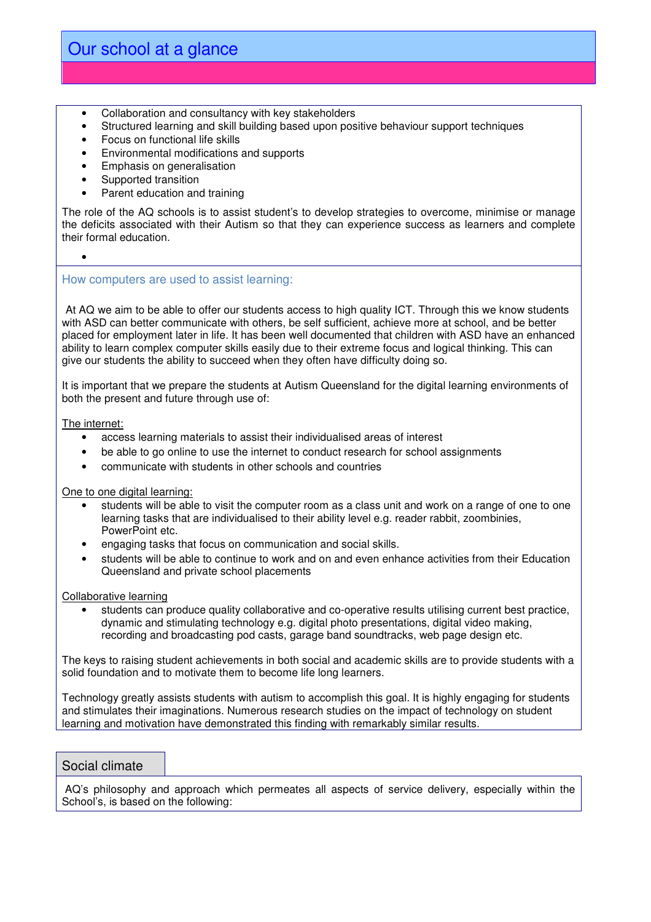- Collaboration and consultancy with key stakeholders
- Structured learning and skill building based upon positive behaviour support techniques
- Focus on functional life skills
- Environmental modifications and supports
- Emphasis on generalisation
- Supported transition
- Parent education and training

The role of the AQ schools is to assist student's to develop strategies to overcome, minimise or manage the deficits associated with their Autism so that they can experience success as learners and complete their formal education.

### How computers are used to assist learning:

At AQ we aim to be able to offer our students access to high quality ICT. Through this we know students with ASD can better communicate with others, be self sufficient, achieve more at school, and be better placed for employment later in life. It has been well documented that children with ASD have an enhanced ability to learn complex computer skills easily due to their extreme focus and logical thinking. This can give our students the ability to succeed when they often have difficulty doing so.

It is important that we prepare the students at Autism Queensland for the digital learning environments of both the present and future through use of:

The internet:

•

- access learning materials to assist their individualised areas of interest
- be able to go online to use the internet to conduct research for school assignments
- communicate with students in other schools and countries

### One to one digital learning:

- students will be able to visit the computer room as a class unit and work on a range of one to one learning tasks that are individualised to their ability level e.g. reader rabbit, zoombinies, PowerPoint etc.
- engaging tasks that focus on communication and social skills.
- students will be able to continue to work and on and even enhance activities from their Education Queensland and private school placements

#### Collaborative learning

• students can produce quality collaborative and co-operative results utilising current best practice, dynamic and stimulating technology e.g. digital photo presentations, digital video making, recording and broadcasting pod casts, garage band soundtracks, web page design etc.

The keys to raising student achievements in both social and academic skills are to provide students with a solid foundation and to motivate them to become life long learners.

Technology greatly assists students with autism to accomplish this goal. It is highly engaging for students and stimulates their imaginations. Numerous research studies on the impact of technology on student learning and motivation have demonstrated this finding with remarkably similar results.

### Social climate

 AQ's philosophy and approach which permeates all aspects of service delivery, especially within the School's, is based on the following: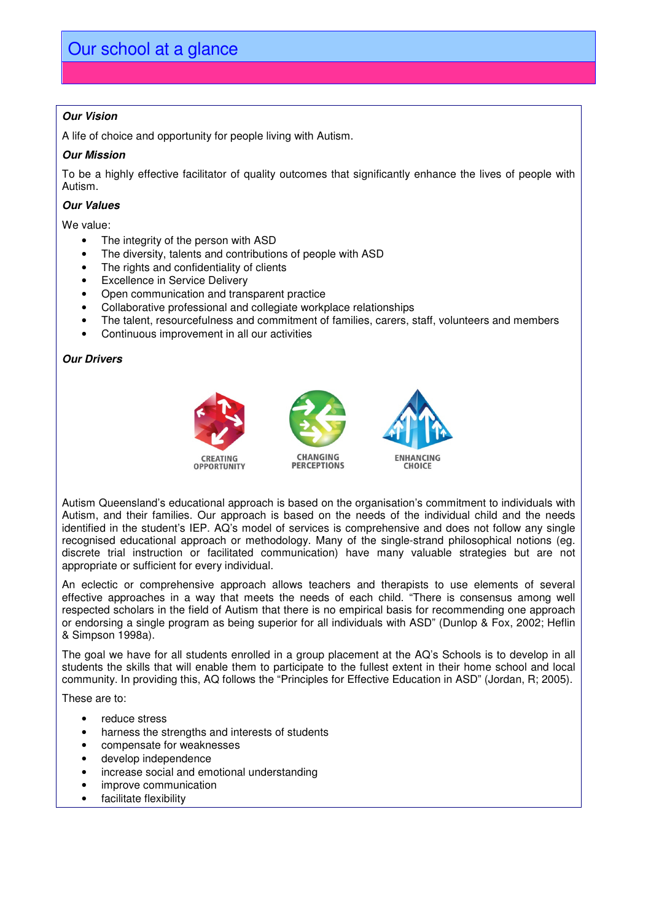# **Our Vision**

A life of choice and opportunity for people living with Autism.

#### **Our Mission**

To be a highly effective facilitator of quality outcomes that significantly enhance the lives of people with Autism.

#### **Our Values**

We value:

- The integrity of the person with ASD
- The diversity, talents and contributions of people with ASD
- The rights and confidentiality of clients
- Excellence in Service Delivery
- Open communication and transparent practice
- Collaborative professional and collegiate workplace relationships
- The talent, resourcefulness and commitment of families, carers, staff, volunteers and members
- Continuous improvement in all our activities

### **Our Drivers**



Autism Queensland's educational approach is based on the organisation's commitment to individuals with Autism, and their families. Our approach is based on the needs of the individual child and the needs identified in the student's IEP. AQ's model of services is comprehensive and does not follow any single recognised educational approach or methodology. Many of the single-strand philosophical notions (eg. discrete trial instruction or facilitated communication) have many valuable strategies but are not appropriate or sufficient for every individual.

An eclectic or comprehensive approach allows teachers and therapists to use elements of several effective approaches in a way that meets the needs of each child. "There is consensus among well respected scholars in the field of Autism that there is no empirical basis for recommending one approach or endorsing a single program as being superior for all individuals with ASD" (Dunlop & Fox, 2002; Heflin & Simpson 1998a).

The goal we have for all students enrolled in a group placement at the AQ's Schools is to develop in all students the skills that will enable them to participate to the fullest extent in their home school and local community. In providing this, AQ follows the "Principles for Effective Education in ASD" (Jordan, R; 2005).

These are to:

- reduce stress
- harness the strengths and interests of students
- compensate for weaknesses
- develop independence
- increase social and emotional understanding
- improve communication
- facilitate flexibility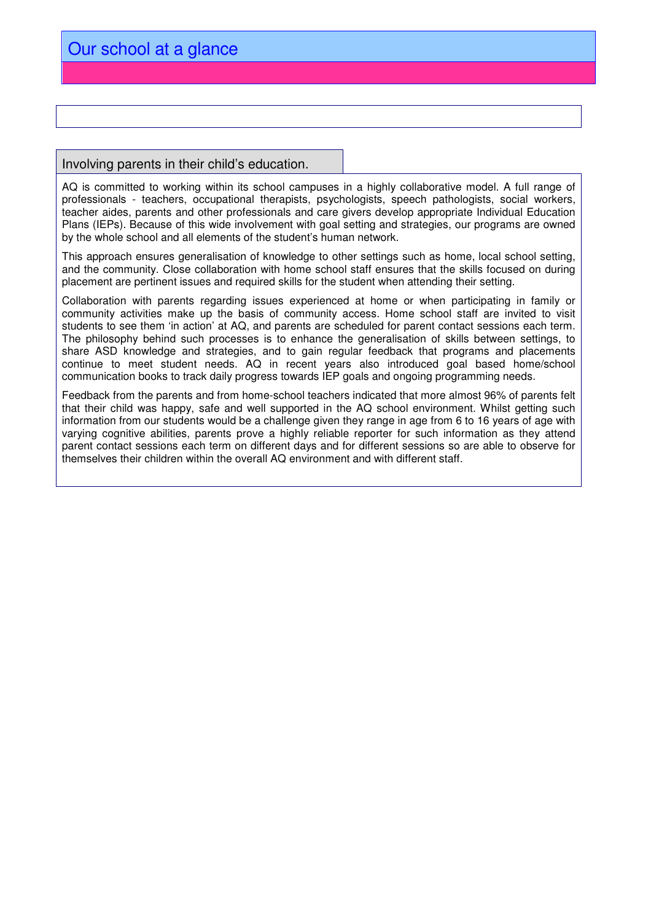### Involving parents in their child's education.

AQ is committed to working within its school campuses in a highly collaborative model. A full range of professionals - teachers, occupational therapists, psychologists, speech pathologists, social workers, teacher aides, parents and other professionals and care givers develop appropriate Individual Education Plans (IEPs). Because of this wide involvement with goal setting and strategies, our programs are owned by the whole school and all elements of the student's human network.

This approach ensures generalisation of knowledge to other settings such as home, local school setting, and the community. Close collaboration with home school staff ensures that the skills focused on during placement are pertinent issues and required skills for the student when attending their setting.

Collaboration with parents regarding issues experienced at home or when participating in family or community activities make up the basis of community access. Home school staff are invited to visit students to see them 'in action' at AQ, and parents are scheduled for parent contact sessions each term. The philosophy behind such processes is to enhance the generalisation of skills between settings, to share ASD knowledge and strategies, and to gain regular feedback that programs and placements continue to meet student needs. AQ in recent years also introduced goal based home/school communication books to track daily progress towards IEP goals and ongoing programming needs.

Feedback from the parents and from home-school teachers indicated that more almost 96% of parents felt that their child was happy, safe and well supported in the AQ school environment. Whilst getting such information from our students would be a challenge given they range in age from 6 to 16 years of age with varying cognitive abilities, parents prove a highly reliable reporter for such information as they attend parent contact sessions each term on different days and for different sessions so are able to observe for themselves their children within the overall AQ environment and with different staff.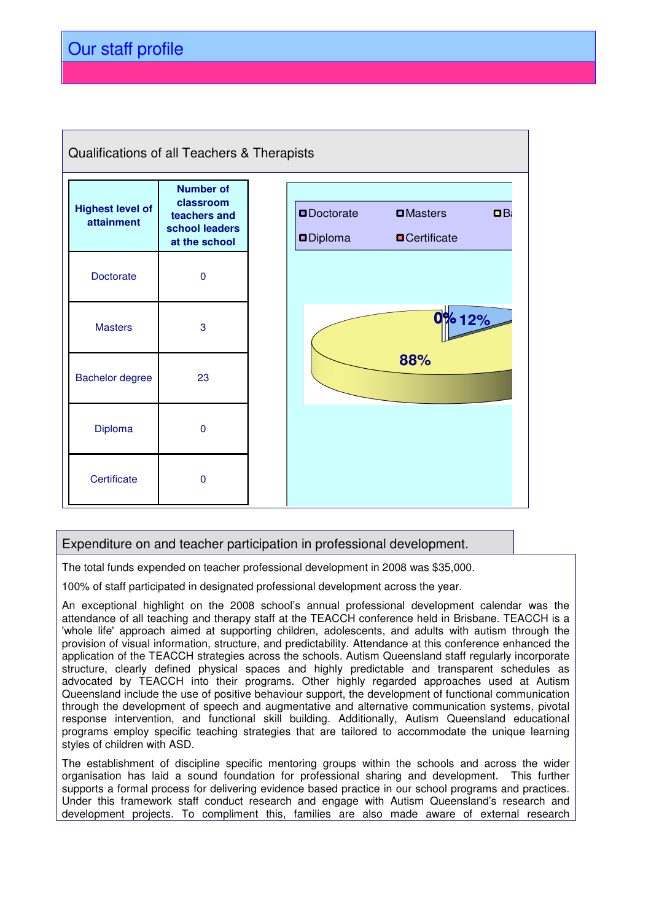

# Expenditure on and teacher participation in professional development.

The total funds expended on teacher professional development in 2008 was \$35,000.

100% of staff participated in designated professional development across the year.

An exceptional highlight on the 2008 school's annual professional development calendar was the attendance of all teaching and therapy staff at the TEACCH conference held in Brisbane. TEACCH is a 'whole life' approach aimed at supporting children, adolescents, and adults with autism through the provision of visual information, structure, and predictability. Attendance at this conference enhanced the application of the TEACCH strategies across the schools. Autism Queensland staff regularly incorporate structure, clearly defined physical spaces and highly predictable and transparent schedules as advocated by TEACCH into their programs. Other highly regarded approaches used at Autism Queensland include the use of positive behaviour support, the development of functional communication through the development of speech and augmentative and alternative communication systems, pivotal response intervention, and functional skill building. Additionally, Autism Queensland educational programs employ specific teaching strategies that are tailored to accommodate the unique learning styles of children with ASD.

The establishment of discipline specific mentoring groups within the schools and across the wider organisation has laid a sound foundation for professional sharing and development. This further supports a formal process for delivering evidence based practice in our school programs and practices. Under this framework staff conduct research and engage with Autism Queensland's research and development projects. To compliment this, families are also made aware of external research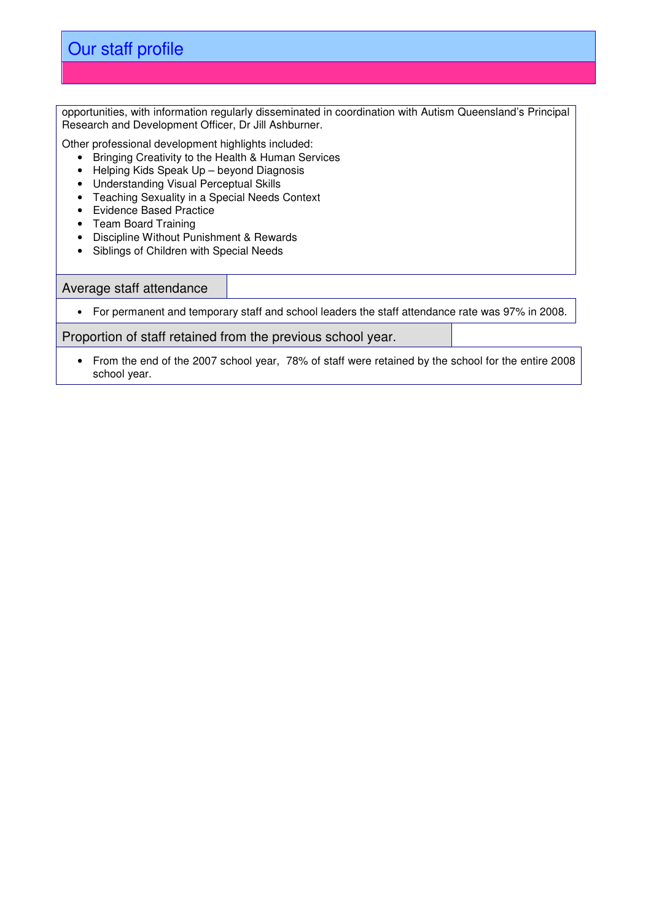opportunities, with information regularly disseminated in coordination with Autism Queensland's Principal Research and Development Officer, Dr Jill Ashburner.

Other professional development highlights included:

- Bringing Creativity to the Health & Human Services
- Helping Kids Speak Up beyond Diagnosis
- Understanding Visual Perceptual Skills
- Teaching Sexuality in a Special Needs Context
- Evidence Based Practice
- Team Board Training
- Discipline Without Punishment & Rewards
- Siblings of Children with Special Needs

### Average staff attendance

• For permanent and temporary staff and school leaders the staff attendance rate was 97% in 2008.

Proportion of staff retained from the previous school year.

• From the end of the 2007 school year, 78% of staff were retained by the school for the entire 2008 school year.